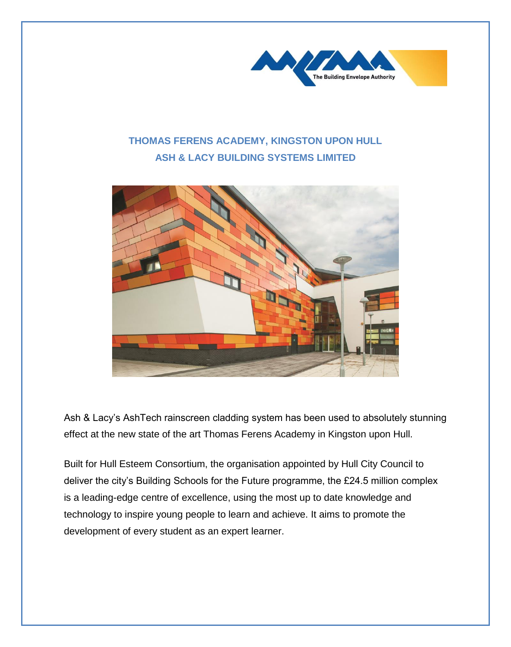

## **THOMAS FERENS ACADEMY, KINGSTON UPON HULL ASH & LACY BUILDING SYSTEMS LIMITED**



Ash & Lacy's AshTech rainscreen cladding system has been used to absolutely stunning effect at the new state of the art Thomas Ferens Academy in Kingston upon Hull.

Built for Hull Esteem Consortium, the organisation appointed by Hull City Council to deliver the city's Building Schools for the Future programme, the £24.5 million complex is a leading-edge centre of excellence, using the most up to date knowledge and technology to inspire young people to learn and achieve. It aims to promote the development of every student as an expert learner.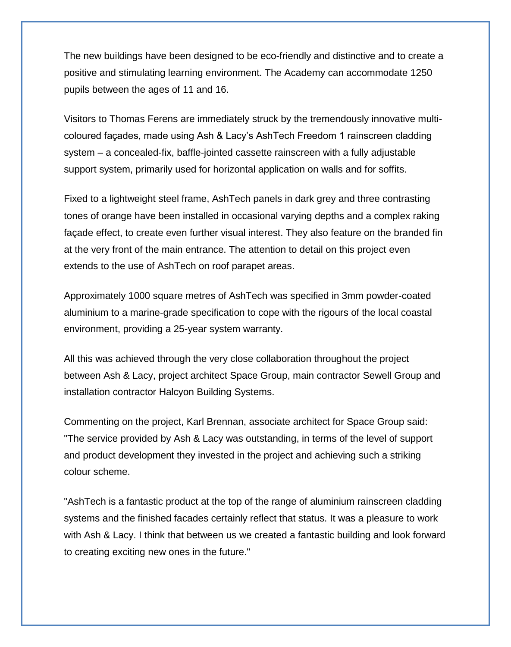The new buildings have been designed to be eco-friendly and distinctive and to create a positive and stimulating learning environment. The Academy can accommodate 1250 pupils between the ages of 11 and 16.

Visitors to Thomas Ferens are immediately struck by the tremendously innovative multicoloured façades, made using Ash & Lacy's AshTech Freedom 1 rainscreen cladding system – a concealed-fix, baffle-jointed cassette rainscreen with a fully adjustable support system, primarily used for horizontal application on walls and for soffits.

Fixed to a lightweight steel frame, AshTech panels in dark grey and three contrasting tones of orange have been installed in occasional varying depths and a complex raking façade effect, to create even further visual interest. They also feature on the branded fin at the very front of the main entrance. The attention to detail on this project even extends to the use of AshTech on roof parapet areas.

Approximately 1000 square metres of AshTech was specified in 3mm powder-coated aluminium to a marine-grade specification to cope with the rigours of the local coastal environment, providing a 25-year system warranty.

All this was achieved through the very close collaboration throughout the project between Ash & Lacy, project architect Space Group, main contractor Sewell Group and installation contractor Halcyon Building Systems.

Commenting on the project, Karl Brennan, associate architect for Space Group said: "The service provided by Ash & Lacy was outstanding, in terms of the level of support and product development they invested in the project and achieving such a striking colour scheme.

"AshTech is a fantastic product at the top of the range of aluminium rainscreen cladding systems and the finished facades certainly reflect that status. It was a pleasure to work with Ash & Lacy. I think that between us we created a fantastic building and look forward to creating exciting new ones in the future."